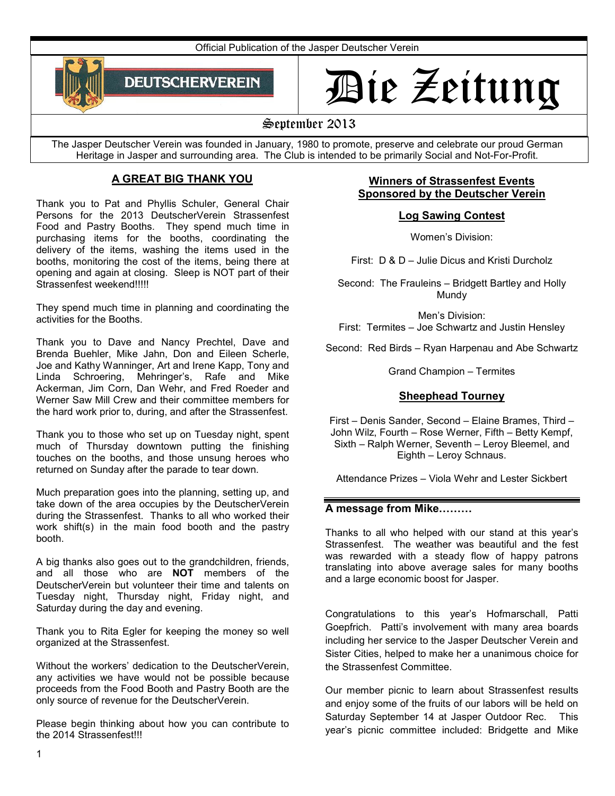Official Publication of the Jasper Deutscher Verein



# Die Zeitung

# September 2013

The Jasper Deutscher Verein was founded in January, 1980 to promote, preserve and celebrate our proud German Heritage in Jasper and surrounding area. The Club is intended to be primarily Social and Not-For-Profit.

# **A GREAT BIG THANK YOU**

Thank you to Pat and Phyllis Schuler, General Chair Persons for the 2013 DeutscherVerein Strassenfest Food and Pastry Booths. They spend much time in purchasing items for the booths, coordinating the delivery of the items, washing the items used in the booths, monitoring the cost of the items, being there at opening and again at closing. Sleep is NOT part of their Strassenfest weekend!!!!!

They spend much time in planning and coordinating the activities for the Booths.

Thank you to Dave and Nancy Prechtel, Dave and Brenda Buehler, Mike Jahn, Don and Eileen Scherle, Joe and Kathy Wanninger, Art and Irene Kapp, Tony and Linda Schroering, Mehringer's, Rafe and Mike Ackerman, Jim Corn, Dan Wehr, and Fred Roeder and Werner Saw Mill Crew and their committee members for the hard work prior to, during, and after the Strassenfest.

Thank you to those who set up on Tuesday night, spent much of Thursday downtown putting the finishing touches on the booths, and those unsung heroes who returned on Sunday after the parade to tear down.

Much preparation goes into the planning, setting up, and take down of the area occupies by the DeutscherVerein during the Strassenfest. Thanks to all who worked their work shift(s) in the main food booth and the pastry booth.

A big thanks also goes out to the grandchildren, friends, and all those who are **NOT** members of the DeutscherVerein but volunteer their time and talents on Tuesday night, Thursday night, Friday night, and Saturday during the day and evening.

Thank you to Rita Egler for keeping the money so well organized at the Strassenfest.

Without the workers' dedication to the DeutscherVerein, any activities we have would not be possible because proceeds from the Food Booth and Pastry Booth are the only source of revenue for the DeutscherVerein.

Please begin thinking about how you can contribute to the 2014 Strassenfest!!!

# **Winners of Strassenfest Events Sponsored by the Deutscher Verein**

# **Log Sawing Contest**

Women's Division:

First: D & D – Julie Dicus and Kristi Durcholz

Second: The Frauleins – Bridgett Bartley and Holly Mundy

Men's Division: First: Termites – Joe Schwartz and Justin Hensley

Second: Red Birds – Ryan Harpenau and Abe Schwartz

Grand Champion – Termites

# **Sheephead Tourney**

First – Denis Sander, Second – Elaine Brames, Third – John Wilz, Fourth – Rose Werner, Fifth – Betty Kempf, Sixth – Ralph Werner, Seventh – Leroy Bleemel, and Eighth – Leroy Schnaus.

Attendance Prizes – Viola Wehr and Lester Sickbert

# A message from Mike.........

Thanks to all who helped with our stand at this year's Strassenfest. The weather was beautiful and the fest was rewarded with a steady flow of happy patrons translating into above average sales for many booths and a large economic boost for Jasper.

Congratulations to this year's Hofmarschall, Patti Goepfrich. Patti's involvement with many area boards including her service to the Jasper Deutscher Verein and Sister Cities, helped to make her a unanimous choice for the Strassenfest Committee.

Our member picnic to learn about Strassenfest results and enjoy some of the fruits of our labors will be held on Saturday September 14 at Jasper Outdoor Rec. This year's picnic committee included: Bridgette and Mike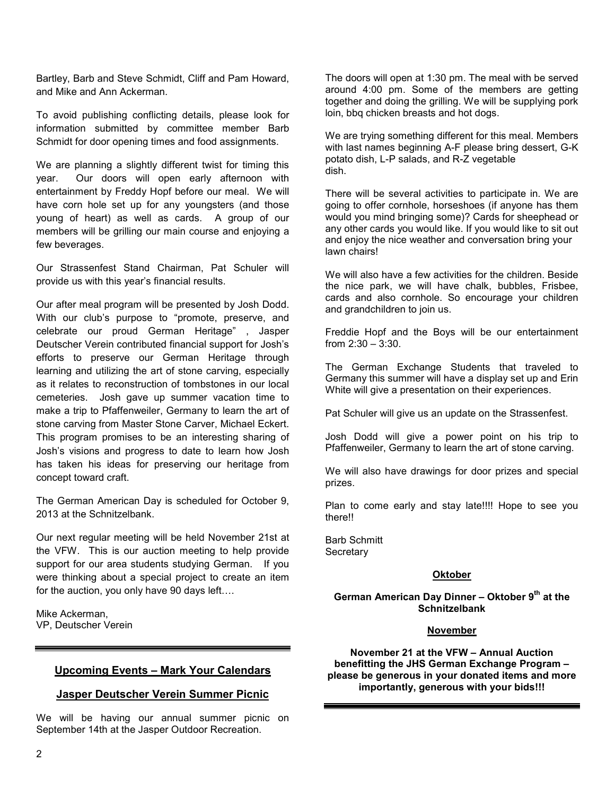Bartley, Barb and Steve Schmidt, Cliff and Pam Howard, and Mike and Ann Ackerman.

To avoid publishing conflicting details, please look for information submitted by committee member Barb Schmidt for door opening times and food assignments.

We are planning a slightly different twist for timing this year. Our doors will open early afternoon with entertainment by Freddy Hopf before our meal. We will have corn hole set up for any youngsters (and those young of heart) as well as cards. A group of our members will be grilling our main course and enjoying a few beverages.

Our Strassenfest Stand Chairman, Pat Schuler will provide us with this year's financial results.

Our after meal program will be presented by Josh Dodd. With our club's purpose to "promote, preserve, and celebrate our proud German Heritage" , Jasper Deutscher Verein contributed financial support for Josh's efforts to preserve our German Heritage through learning and utilizing the art of stone carving, especially as it relates to reconstruction of tombstones in our local cemeteries. Josh gave up summer vacation time to make a trip to Pfaffenweiler, Germany to learn the art of stone carving from Master Stone Carver, Michael Eckert. This program promises to be an interesting sharing of Josh's visions and progress to date to learn how Josh has taken his ideas for preserving our heritage from concept toward craft.

The German American Day is scheduled for October 9, 2013 at the Schnitzelbank.

Our next regular meeting will be held November 21st at the VFW. This is our auction meeting to help provide support for our area students studying German. If you were thinking about a special project to create an item for the auction, you only have 90 days  $left...$ 

Mike Ackerman, VP, Deutscher Verein

# **Upcoming Events – Mark Your Calendars**

# **Jasper Deutscher Verein Summer Picnic**

We will be having our annual summer picnic on September 14th at the Jasper Outdoor Recreation.

The doors will open at 1:30 pm. The meal with be served around 4:00 pm. Some of the members are getting together and doing the grilling. We will be supplying pork loin, bbq chicken breasts and hot dogs.

We are trying something different for this meal. Members with last names beginning A-F please bring dessert, G-K potato dish, L-P salads, and R-Z vegetable dish.

There will be several activities to participate in. We are going to offer cornhole, horseshoes (if anyone has them would you mind bringing some)? Cards for sheephead or any other cards you would like. If you would like to sit out and enjoy the nice weather and conversation bring your lawn chairs!

We will also have a few activities for the children. Beside the nice park, we will have chalk, bubbles, Frisbee, cards and also cornhole. So encourage your children and grandchildren to join us.

Freddie Hopf and the Boys will be our entertainment from 2:30 – 3:30.

The German Exchange Students that traveled to Germany this summer will have a display set up and Erin White will give a presentation on their experiences.

Pat Schuler will give us an update on the Strassenfest.

Josh Dodd will give a power point on his trip to Pfaffenweiler, Germany to learn the art of stone carving.

We will also have drawings for door prizes and special prizes.

Plan to come early and stay late!!!! Hope to see you there!!

Barb Schmitt **Secretary** 

#### **Oktober**

## **German American Day Dinner – Oktober 9th at the Schnitzelbank**

#### **November**

**November 21 at the VFW – Annual Auction benefitting the JHS German Exchange Program – please be generous in your donated items and more importantly, generous with your bids!!!**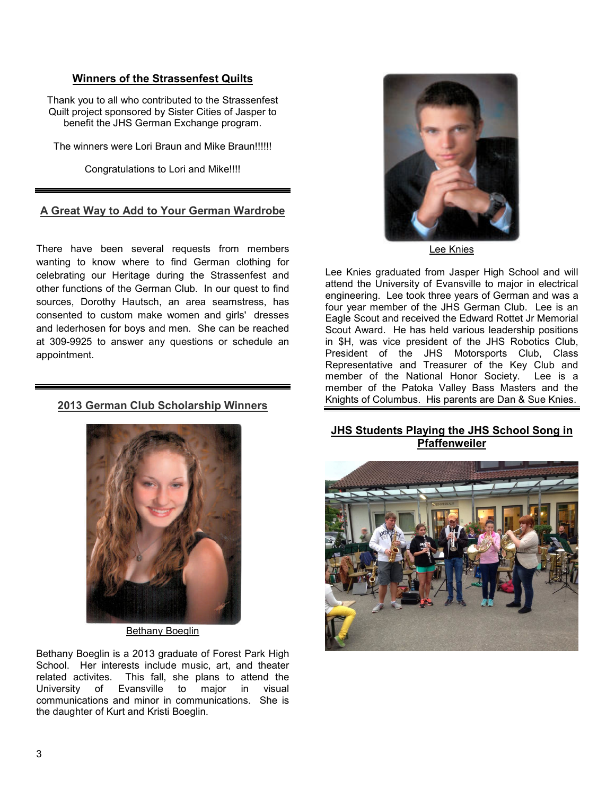# **Winners of the Strassenfest Quilts**

Thank you to all who contributed to the Strassenfest Quilt project sponsored by Sister Cities of Jasper to benefit the JHS German Exchange program.

The winners were Lori Braun and Mike Braun!!!!!!

Congratulations to Lori and Mike!!!!

# **A Great Way to Add to Your German Wardrobe**

There have been several requests from members wanting to know where to find German clothing for celebrating our Heritage during the Strassenfest and other functions of the German Club. In our quest to find sources, Dorothy Hautsch, an area seamstress, has consented to custom make women and girls' dresses and lederhosen for boys and men. She can be reached at 309-9925 to answer any questions or schedule an appointment.

# **2013 German Club Scholarship Winners**



Bethany Boeglin

Bethany Boeglin is a 2013 graduate of Forest Park High School. Her interests include music, art, and theater related activites. This fall, she plans to attend the University of Evansville to major in visual Evansville to major in visual communications and minor in communications. She is the daughter of Kurt and Kristi Boeglin.



Lee Knies

Lee Knies graduated from Jasper High School and will attend the University of Evansville to major in electrical engineering. Lee took three years of German and was a four year member of the JHS German Club. Lee is an Eagle Scout and received the Edward Rottet Jr Memorial Scout Award. He has held various leadership positions in \$H, was vice president of the JHS Robotics Club, President of the JHS Motorsports Club, Class Representative and Treasurer of the Key Club and member of the National Honor Society. Lee is a member of the Patoka Valley Bass Masters and the Knights of Columbus. His parents are Dan & Sue Knies.

# **JHS Students Playing the JHS School Song in Pfaffenweiler**

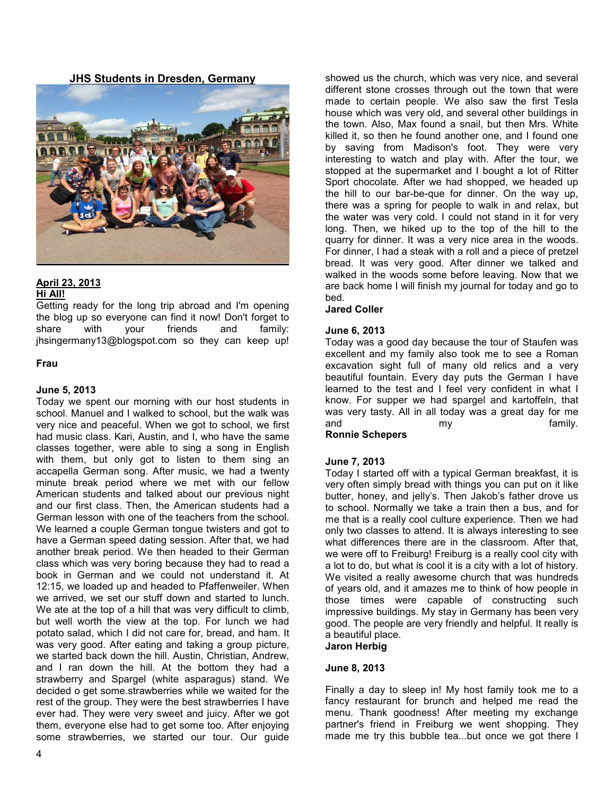**JHS Students in Dresden, Germany** 



#### **April 23, 2013 Hi All!**

Getting ready for the long trip abroad and I'm opening the blog up so everyone can find it now! Don't forget to share with your friends and family: jhsingermany13@blogspot.com so they can keep up!

### **Frau**

# **June 5, 2013**

Today we spent our morning with our host students in school. Manuel and I walked to school, but the walk was very nice and peaceful. When we got to school, we first had music class. Kari, Austin, and I, who have the same classes together, were able to sing a song in English with them, but only got to listen to them sing an accapella German song. After music, we had a twenty minute break period where we met with our fellow American students and talked about our previous night and our first class. Then, the American students had a German lesson with one of the teachers from the school. We learned a couple German tongue twisters and got to have a German speed dating session. After that, we had another break period. We then headed to their German class which was very boring because they had to read a book in German and we could not understand it. At 12:15, we loaded up and headed to Pfaffenweiler. When we arrived, we set our stuff down and started to lunch. We ate at the top of a hill that was very difficult to climb, but well worth the view at the top. For lunch we had potato salad, which I did not care for, bread, and ham. It was very good. After eating and taking a group picture, we started back down the hill. Austin, Christian, Andrew, and I ran down the hill. At the bottom they had a strawberry and Spargel (white asparagus) stand. We decided o get some.strawberries while we waited for the rest of the group. They were the best strawberries I have ever had. They were very sweet and juicy. After we got them, everyone else had to get some too. After enjoying some strawberries, we started our tour. Our guide

showed us the church, which was very nice, and several different stone crosses through out the town that were made to certain people. We also saw the first Tesla house which was very old, and several other buildings in the town. Also, Max found a snail, but then Mrs. White killed it, so then he found another one, and I found one by saving from Madison's foot. They were very interesting to watch and play with. After the tour, we stopped at the supermarket and I bought a lot of Ritter Sport chocolate. After we had shopped, we headed up the hill to our bar-be-que for dinner. On the way up, there was a spring for people to walk in and relax, but the water was very cold. I could not stand in it for very long. Then, we hiked up to the top of the hill to the quarry for dinner. It was a very nice area in the woods. For dinner, I had a steak with a roll and a piece of pretzel bread. It was very good. After dinner we talked and walked in the woods some before leaving. Now that we are back home I will finish my journal for today and go to bed.

#### **Jared Coller**

### **June 6, 2013**

Today was a good day because the tour of Staufen was excellent and my family also took me to see a Roman excavation sight full of many old relics and a very beautiful fountain. Every day puts the German I have learned to the test and I feel very confident in what I know. For supper we had spargel and kartoffeln, that was very tasty. All in all today was a great day for me and my my family.

# **Ronnie Schepers**

# **June 7, 2013**

Today I started off with a typical German breakfast, it is very often simply bread with things you can put on it like butter, honey, and jelly's. Then Jakob's father drove us to school. Normally we take a train then a bus, and for me that is a really cool culture experience. Then we had only two classes to attend. It is always interesting to see what differences there are in the classroom. After that, we were off to Freiburg! Freiburg is a really cool city with a lot to do, but what is cool it is a city with a lot of history. We visited a really awesome church that was hundreds of years old, and it amazes me to think of how people in those times were capable of constructing such impressive buildings. My stay in Germany has been very good. The people are very friendly and helpful. It really is a beautiful place.

# **Jaron Herbig**

#### **June 8, 2013**

Finally a day to sleep in! My host family took me to a fancy restaurant for brunch and helped me read the menu. Thank goodness! After meeting my exchange partner's friend in Freiburg we went shopping. They made me try this bubble tea...but once we got there I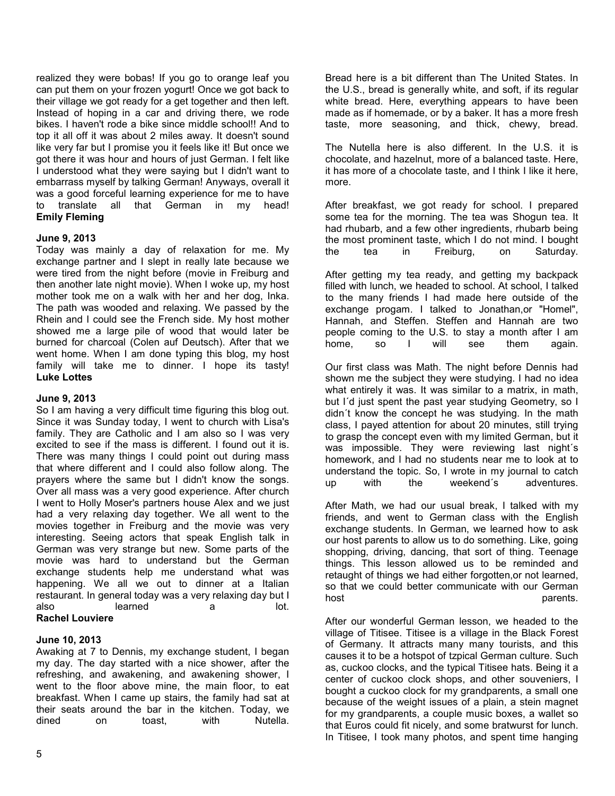realized they were bobas! If you go to orange leaf you can put them on your frozen yogurt! Once we got back to their village we got ready for a get together and then left. Instead of hoping in a car and driving there, we rode bikes. I haven't rode a bike since middle school!! And to top it all off it was about 2 miles away. It doesn't sound like very far but I promise you it feels like it! But once we got there it was hour and hours of just German. I felt like I understood what they were saying but I didn't want to embarrass myself by talking German! Anyways, overall it was a good forceful learning experience for me to have to translate all that German in my head! **Emily Fleming**

# **June 9, 2013**

Today was mainly a day of relaxation for me. My exchange partner and I slept in really late because we were tired from the night before (movie in Freiburg and then another late night movie). When I woke up, my host mother took me on a walk with her and her dog, Inka. The path was wooded and relaxing. We passed by the Rhein and I could see the French side. My host mother showed me a large pile of wood that would later be burned for charcoal (Colen auf Deutsch). After that we went home. When I am done typing this blog, my host family will take me to dinner. I hope its tasty! **Luke Lottes**

#### **June 9, 2013**

So I am having a very difficult time figuring this blog out. Since it was Sunday today, I went to church with Lisa's family. They are Catholic and I am also so I was very excited to see if the mass is different. I found out it is. There was many things I could point out during mass that where different and I could also follow along. The prayers where the same but I didn't know the songs. Over all mass was a very good experience. After church I went to Holly Moser's partners house Alex and we just had a very relaxing day together. We all went to the movies together in Freiburg and the movie was very interesting. Seeing actors that speak English talk in German was very strange but new. Some parts of the movie was hard to understand but the German exchange students help me understand what was happening. We all we out to dinner at a Italian restaurant. In general today was a very relaxing day but I also learned a lot. **Rachel Louviere**

#### **June 10, 2013**

Awaking at 7 to Dennis, my exchange student, I began my day. The day started with a nice shower, after the refreshing, and awakening, and awakening shower, I went to the floor above mine, the main floor, to eat breakfast. When I came up stairs, the family had sat at their seats around the bar in the kitchen. Today, we dined on toast, with Nutella.

Bread here is a bit different than The United States. In the U.S., bread is generally white, and soft, if its regular white bread. Here, everything appears to have been made as if homemade, or by a baker. It has a more fresh taste, more seasoning, and thick, chewy, bread.

The Nutella here is also different. In the U.S. it is chocolate, and hazelnut, more of a balanced taste. Here, it has more of a chocolate taste, and I think I like it here, more.

After breakfast, we got ready for school. I prepared some tea for the morning. The tea was Shogun tea. It had rhubarb, and a few other ingredients, rhubarb being the most prominent taste, which I do not mind. I bought the tea in Freiburg, on Saturday.

After getting my tea ready, and getting my backpack filled with lunch, we headed to school. At school, I talked to the many friends I had made here outside of the exchange progam. I talked to Jonathan,or "Homel", Hannah, and Steffen. Steffen and Hannah are two people coming to the U.S. to stay a month after I am<br>home, so I will see them again. home, so I will see them again.

Our first class was Math. The night before Dennis had shown me the subject they were studying. I had no idea what entirely it was. It was similar to a matrix, in math, but I´d just spent the past year studying Geometry, so I didn´t know the concept he was studying. In the math class, I payed attention for about 20 minutes, still trying to grasp the concept even with my limited German, but it was impossible. They were reviewing last night´s homework, and I had no students near me to look at to understand the topic. So, I wrote in my journal to catch up with the weekend´s adventures.

After Math, we had our usual break, I talked with my friends, and went to German class with the English exchange students. In German, we learned how to ask our host parents to allow us to do something. Like, going shopping, driving, dancing, that sort of thing. Teenage things. This lesson allowed us to be reminded and retaught of things we had either forgotten,or not learned, so that we could better communicate with our German host parents.

After our wonderful German lesson, we headed to the village of Titisee. Titisee is a village in the Black Forest of Germany. It attracts many many tourists, and this causes it to be a hotspot of tzpical German culture. Such as, cuckoo clocks, and the typical Titisee hats. Being it a center of cuckoo clock shops, and other souveniers, I bought a cuckoo clock for my grandparents, a small one because of the weight issues of a plain, a stein magnet for my grandparents, a couple music boxes, a wallet so that Euros could fit nicely, and some bratwurst for lunch. In Titisee, I took many photos, and spent time hanging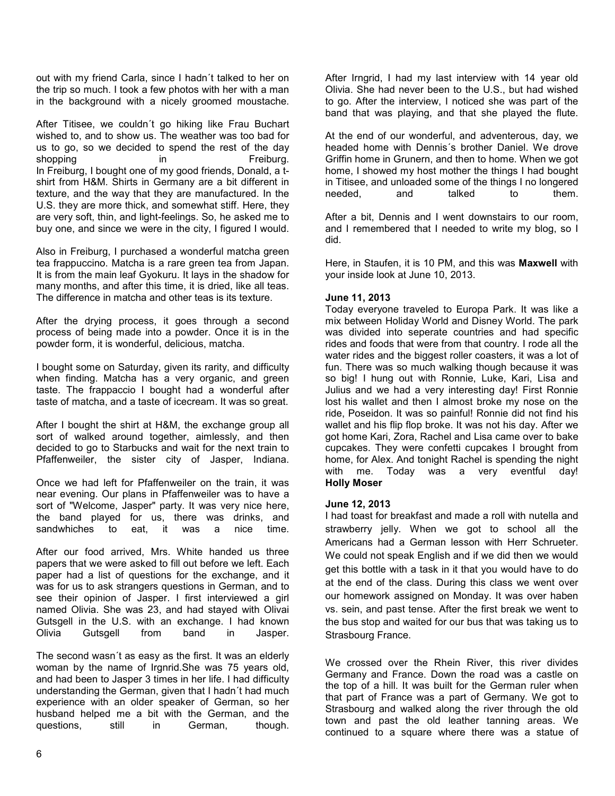out with my friend Carla, since I hadn´t talked to her on the trip so much. I took a few photos with her with a man in the background with a nicely groomed moustache.

After Titisee, we couldn´t go hiking like Frau Buchart wished to, and to show us. The weather was too bad for us to go, so we decided to spend the rest of the day shopping in in Freiburg. In Freiburg, I bought one of my good friends, Donald, a tshirt from H&M. Shirts in Germany are a bit different in texture, and the way that they are manufactured. In the U.S. they are more thick, and somewhat stiff. Here, they are very soft, thin, and light-feelings. So, he asked me to buy one, and since we were in the city, I figured I would.

Also in Freiburg, I purchased a wonderful matcha green tea frappuccino. Matcha is a rare green tea from Japan. It is from the main leaf Gyokuru. It lays in the shadow for many months, and after this time, it is dried, like all teas. The difference in matcha and other teas is its texture.

After the drying process, it goes through a second process of being made into a powder. Once it is in the powder form, it is wonderful, delicious, matcha.

I bought some on Saturday, given its rarity, and difficulty when finding. Matcha has a very organic, and green taste. The frappaccio I bought had a wonderful after taste of matcha, and a taste of icecream. It was so great.

After I bought the shirt at H&M, the exchange group all sort of walked around together, aimlessly, and then decided to go to Starbucks and wait for the next train to Pfaffenweiler, the sister city of Jasper, Indiana.

Once we had left for Pfaffenweiler on the train, it was near evening. Our plans in Pfaffenweiler was to have a sort of "Welcome, Jasper" party. It was very nice here, the band played for us, there was drinks, and sandwhiches to eat, it was a nice time.

After our food arrived, Mrs. White handed us three papers that we were asked to fill out before we left. Each paper had a list of questions for the exchange, and it was for us to ask strangers questions in German, and to see their opinion of Jasper. I first interviewed a girl named Olivia. She was 23, and had stayed with Olivai Gutsgell in the U.S. with an exchange. I had known Olivia Gutsgell from band in Jasper.

The second wasn´t as easy as the first. It was an elderly woman by the name of Irgnrid.She was 75 years old, and had been to Jasper 3 times in her life. I had difficulty understanding the German, given that I hadn´t had much experience with an older speaker of German, so her husband helped me a bit with the German, and the questions, still in German, though.

After Irngrid, I had my last interview with 14 year old Olivia. She had never been to the U.S., but had wished to go. After the interview, I noticed she was part of the band that was playing, and that she played the flute.

At the end of our wonderful, and adventerous, day, we headed home with Dennis´s brother Daniel. We drove Griffin home in Grunern, and then to home. When we got home, I showed my host mother the things I had bought in Titisee, and unloaded some of the things I no longered needed, and talked to them.

After a bit, Dennis and I went downstairs to our room, and I remembered that I needed to write my blog, so I did.

Here, in Staufen, it is 10 PM, and this was **Maxwell** with your inside look at June 10, 2013.

# **June 11, 2013**

Today everyone traveled to Europa Park. It was like a mix between Holiday World and Disney World. The park was divided into seperate countries and had specific rides and foods that were from that country. I rode all the water rides and the biggest roller coasters, it was a lot of fun. There was so much walking though because it was so big! I hung out with Ronnie, Luke, Kari, Lisa and Julius and we had a very interesting day! First Ronnie lost his wallet and then I almost broke my nose on the ride, Poseidon. It was so painful! Ronnie did not find his wallet and his flip flop broke. It was not his day. After we got home Kari, Zora, Rachel and Lisa came over to bake cupcakes. They were confetti cupcakes I brought from home, for Alex. And tonight Rachel is spending the night with me. Today was a very eventful day! **Holly Moser**

#### **June 12, 2013**

I had toast for breakfast and made a roll with nutella and strawberry jelly. When we got to school all the Americans had a German lesson with Herr Schrueter. We could not speak English and if we did then we would get this bottle with a task in it that you would have to do at the end of the class. During this class we went over our homework assigned on Monday. It was over haben vs. sein, and past tense. After the first break we went to the bus stop and waited for our bus that was taking us to Strasbourg France.

We crossed over the Rhein River, this river divides Germany and France. Down the road was a castle on the top of a hill. It was built for the German ruler when that part of France was a part of Germany. We got to Strasbourg and walked along the river through the old town and past the old leather tanning areas. We continued to a square where there was a statue of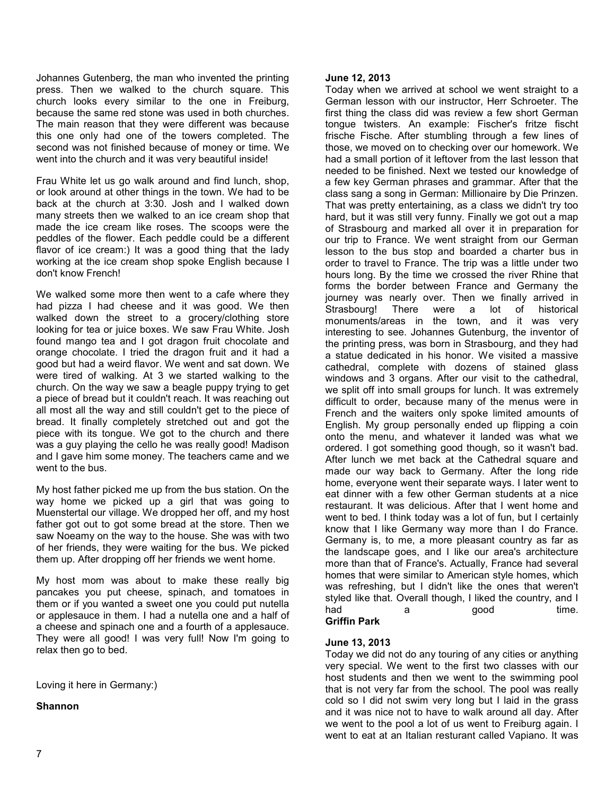Johannes Gutenberg, the man who invented the printing press. Then we walked to the church square. This church looks every similar to the one in Freiburg, because the same red stone was used in both churches. The main reason that they were different was because this one only had one of the towers completed. The second was not finished because of money or time. We went into the church and it was very beautiful inside!

Frau White let us go walk around and find lunch, shop, or look around at other things in the town. We had to be back at the church at 3:30. Josh and I walked down many streets then we walked to an ice cream shop that made the ice cream like roses. The scoops were the peddles of the flower. Each peddle could be a different flavor of ice cream:) It was a good thing that the lady working at the ice cream shop spoke English because I don't know French!

We walked some more then went to a cafe where they had pizza I had cheese and it was good. We then walked down the street to a grocery/clothing store looking for tea or juice boxes. We saw Frau White. Josh found mango tea and I got dragon fruit chocolate and orange chocolate. I tried the dragon fruit and it had a good but had a weird flavor. We went and sat down. We were tired of walking. At 3 we started walking to the church. On the way we saw a beagle puppy trying to get a piece of bread but it couldn't reach. It was reaching out all most all the way and still couldn't get to the piece of bread. It finally completely stretched out and got the piece with its tongue. We got to the church and there was a guy playing the cello he was really good! Madison and I gave him some money. The teachers came and we went to the bus.

My host father picked me up from the bus station. On the way home we picked up a girl that was going to Muenstertal our village. We dropped her off, and my host father got out to got some bread at the store. Then we saw Noeamy on the way to the house. She was with two of her friends, they were waiting for the bus. We picked them up. After dropping off her friends we went home.

My host mom was about to make these really big pancakes you put cheese, spinach, and tomatoes in them or if you wanted a sweet one you could put nutella or applesauce in them. I had a nutella one and a half of a cheese and spinach one and a fourth of a applesauce. They were all good! I was very full! Now I'm going to relax then go to bed.

Loving it here in Germany:)

#### **Shannon**

#### **June 12, 2013**

Today when we arrived at school we went straight to a German lesson with our instructor, Herr Schroeter. The first thing the class did was review a few short German tongue twisters. An example: Fischer's fritze fischt frische Fische. After stumbling through a few lines of those, we moved on to checking over our homework. We had a small portion of it leftover from the last lesson that needed to be finished. Next we tested our knowledge of a few key German phrases and grammar. After that the class sang a song in German: Millionaire by Die Prinzen. That was pretty entertaining, as a class we didn't try too hard, but it was still very funny. Finally we got out a map of Strasbourg and marked all over it in preparation for our trip to France. We went straight from our German lesson to the bus stop and boarded a charter bus in order to travel to France. The trip was a little under two hours long. By the time we crossed the river Rhine that forms the border between France and Germany the journey was nearly over. Then we finally arrived in Strasbourg! There were a lot of historical monuments/areas in the town, and it was very interesting to see. Johannes Gutenburg, the inventor of the printing press, was born in Strasbourg, and they had a statue dedicated in his honor. We visited a massive cathedral, complete with dozens of stained glass windows and 3 organs. After our visit to the cathedral, we split off into small groups for lunch. It was extremely difficult to order, because many of the menus were in French and the waiters only spoke limited amounts of English. My group personally ended up flipping a coin onto the menu, and whatever it landed was what we ordered. I got something good though, so it wasn't bad. After lunch we met back at the Cathedral square and made our way back to Germany. After the long ride home, everyone went their separate ways. I later went to eat dinner with a few other German students at a nice restaurant. It was delicious. After that I went home and went to bed. I think today was a lot of fun, but I certainly know that I like Germany way more than I do France. Germany is, to me, a more pleasant country as far as the landscape goes, and I like our area's architecture more than that of France's. Actually, France had several homes that were similar to American style homes, which was refreshing, but I didn't like the ones that weren't styled like that. Overall though, I liked the country, and I had a good time.

# **Griffin Park**

#### **June 13, 2013**

Today we did not do any touring of any cities or anything very special. We went to the first two classes with our host students and then we went to the swimming pool that is not very far from the school. The pool was really cold so I did not swim very long but I laid in the grass and it was nice not to have to walk around all day. After we went to the pool a lot of us went to Freiburg again. I went to eat at an Italian resturant called Vapiano. It was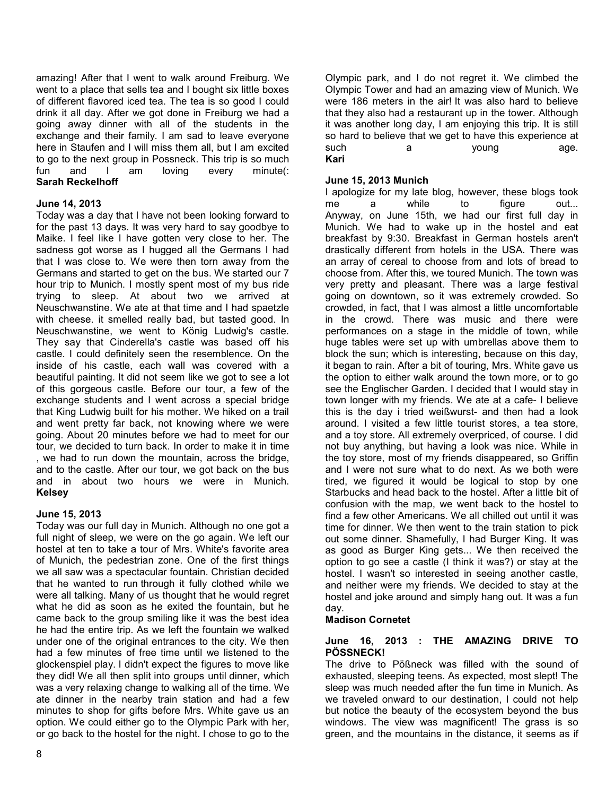amazing! After that I went to walk around Freiburg. We went to a place that sells tea and I bought six little boxes of different flavored iced tea. The tea is so good I could drink it all day. After we got done in Freiburg we had a going away dinner with all of the students in the exchange and their family. I am sad to leave everyone here in Staufen and I will miss them all, but I am excited to go to the next group in Possneck. This trip is so much fun and I am loving every minute(: **Sarah Reckelhoff**

#### **June 14, 2013**

Today was a day that I have not been looking forward to for the past 13 days. It was very hard to say goodbye to Maike. I feel like I have gotten very close to her. The sadness got worse as I hugged all the Germans I had that I was close to. We were then torn away from the Germans and started to get on the bus. We started our 7 hour trip to Munich. I mostly spent most of my bus ride trying to sleep. At about two we arrived at Neuschwanstine. We ate at that time and I had spaetzle with cheese. it smelled really bad, but tasted good. In Neuschwanstine, we went to König Ludwig's castle. They say that Cinderella's castle was based off his castle. I could definitely seen the resemblence. On the inside of his castle, each wall was covered with a beautiful painting. It did not seem like we got to see a lot of this gorgeous castle. Before our tour, a few of the exchange students and I went across a special bridge that King Ludwig built for his mother. We hiked on a trail and went pretty far back, not knowing where we were going. About 20 minutes before we had to meet for our tour, we decided to turn back. In order to make it in time , we had to run down the mountain, across the bridge, and to the castle. After our tour, we got back on the bus and in about two hours we were in Munich. **Kelsey** 

# **June 15, 2013**

Today was our full day in Munich. Although no one got a full night of sleep, we were on the go again. We left our hostel at ten to take a tour of Mrs. White's favorite area of Munich, the pedestrian zone. One of the first things we all saw was a spectacular fountain. Christian decided that he wanted to run through it fully clothed while we were all talking. Many of us thought that he would regret what he did as soon as he exited the fountain, but he came back to the group smiling like it was the best idea he had the entire trip. As we left the fountain we walked under one of the original entrances to the city. We then had a few minutes of free time until we listened to the glockenspiel play. I didn't expect the figures to move like they did! We all then split into groups until dinner, which was a very relaxing change to walking all of the time. We ate dinner in the nearby train station and had a few minutes to shop for gifts before Mrs. White gave us an option. We could either go to the Olympic Park with her, or go back to the hostel for the night. I chose to go to the

Olympic park, and I do not regret it. We climbed the Olympic Tower and had an amazing view of Munich. We were 186 meters in the air! It was also hard to believe that they also had a restaurant up in the tower. Although it was another long day, I am enjoying this trip. It is still so hard to believe that we get to have this experience at such a voung age. **Kari**

#### **June 15, 2013 Munich**

I apologize for my late blog, however, these blogs took me a while to figure out... Anyway, on June 15th, we had our first full day in Munich. We had to wake up in the hostel and eat breakfast by 9:30. Breakfast in German hostels aren't drastically different from hotels in the USA. There was an array of cereal to choose from and lots of bread to choose from. After this, we toured Munich. The town was very pretty and pleasant. There was a large festival going on downtown, so it was extremely crowded. So crowded, in fact, that I was almost a little uncomfortable in the crowd. There was music and there were performances on a stage in the middle of town, while huge tables were set up with umbrellas above them to block the sun; which is interesting, because on this day, it began to rain. After a bit of touring, Mrs. White gave us the option to either walk around the town more, or to go see the Englischer Garden. I decided that I would stay in town longer with my friends. We ate at a cafe- I believe this is the day i tried weißwurst- and then had a look around. I visited a few little tourist stores, a tea store, and a toy store. All extremely overpriced, of course. I did not buy anything, but having a look was nice. While in the toy store, most of my friends disappeared, so Griffin and I were not sure what to do next. As we both were tired, we figured it would be logical to stop by one Starbucks and head back to the hostel. After a little bit of confusion with the map, we went back to the hostel to find a few other Americans. We all chilled out until it was time for dinner. We then went to the train station to pick out some dinner. Shamefully, I had Burger King. It was as good as Burger King gets... We then received the option to go see a castle (I think it was?) or stay at the hostel. I wasn't so interested in seeing another castle, and neither were my friends. We decided to stay at the hostel and joke around and simply hang out. It was a fun day.

#### **Madison Cornetet**

### **June 16, 2013 : THE AMAZING DRIVE TO PÖSSNECK!**

The drive to Pößneck was filled with the sound of exhausted, sleeping teens. As expected, most slept! The sleep was much needed after the fun time in Munich. As we traveled onward to our destination, I could not help but notice the beauty of the ecosystem beyond the bus windows. The view was magnificent! The grass is so green, and the mountains in the distance, it seems as if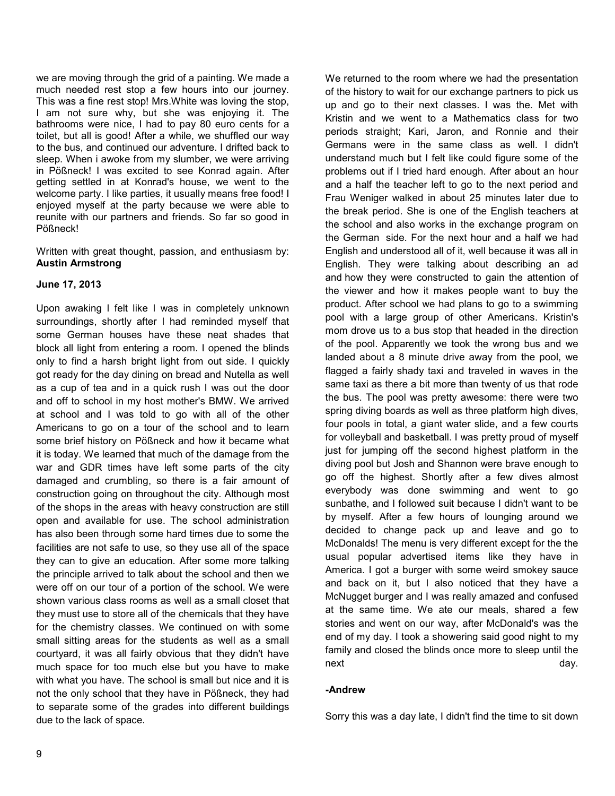we are moving through the grid of a painting. We made a much needed rest stop a few hours into our journey. This was a fine rest stop! Mrs.White was loving the stop, I am not sure why, but she was enjoying it. The bathrooms were nice, I had to pay 80 euro cents for a toilet, but all is good! After a while, we shuffled our way to the bus, and continued our adventure. I drifted back to sleep. When i awoke from my slumber, we were arriving in Pößneck! I was excited to see Konrad again. After getting settled in at Konrad's house, we went to the welcome party. I like parties, it usually means free food! I enjoyed myself at the party because we were able to reunite with our partners and friends. So far so good in Pößneck!

Written with great thought, passion, and enthusiasm by: **Austin Armstrong**

# **June 17, 2013**

Upon awaking I felt like I was in completely unknown surroundings, shortly after I had reminded myself that some German houses have these neat shades that block all light from entering a room. I opened the blinds only to find a harsh bright light from out side. I quickly got ready for the day dining on bread and Nutella as well as a cup of tea and in a quick rush I was out the door and off to school in my host mother's BMW. We arrived at school and I was told to go with all of the other Americans to go on a tour of the school and to learn some brief history on Pößneck and how it became what it is today. We learned that much of the damage from the war and GDR times have left some parts of the city damaged and crumbling, so there is a fair amount of construction going on throughout the city. Although most of the shops in the areas with heavy construction are still open and available for use. The school administration has also been through some hard times due to some the facilities are not safe to use, so they use all of the space they can to give an education. After some more talking the principle arrived to talk about the school and then we were off on our tour of a portion of the school. We were shown various class rooms as well as a small closet that they must use to store all of the chemicals that they have for the chemistry classes. We continued on with some small sitting areas for the students as well as a small courtyard, it was all fairly obvious that they didn't have much space for too much else but you have to make with what you have. The school is small but nice and it is not the only school that they have in Pößneck, they had to separate some of the grades into different buildings due to the lack of space.

We returned to the room where we had the presentation of the history to wait for our exchange partners to pick us up and go to their next classes. I was the. Met with Kristin and we went to a Mathematics class for two periods straight; Kari, Jaron, and Ronnie and their Germans were in the same class as well. I didn't understand much but I felt like could figure some of the problems out if I tried hard enough. After about an hour and a half the teacher left to go to the next period and Frau Weniger walked in about 25 minutes later due to the break period. She is one of the English teachers at the school and also works in the exchange program on the German side. For the next hour and a half we had English and understood all of it, well because it was all in English. They were talking about describing an ad and how they were constructed to gain the attention of the viewer and how it makes people want to buy the product. After school we had plans to go to a swimming pool with a large group of other Americans. Kristin's mom drove us to a bus stop that headed in the direction of the pool. Apparently we took the wrong bus and we landed about a 8 minute drive away from the pool, we flagged a fairly shady taxi and traveled in waves in the same taxi as there a bit more than twenty of us that rode the bus. The pool was pretty awesome: there were two spring diving boards as well as three platform high dives, four pools in total, a giant water slide, and a few courts for volleyball and basketball. I was pretty proud of myself just for jumping off the second highest platform in the diving pool but Josh and Shannon were brave enough to go off the highest. Shortly after a few dives almost everybody was done swimming and went to go sunbathe, and I followed suit because I didn't want to be by myself. After a few hours of lounging around we decided to change pack up and leave and go to McDonalds! The menu is very different except for the the usual popular advertised items like they have in America. I got a burger with some weird smokey sauce and back on it, but I also noticed that they have a McNugget burger and I was really amazed and confused at the same time. We ate our meals, shared a few stories and went on our way, after McDonald's was the end of my day. I took a showering said good night to my family and closed the blinds once more to sleep until the next day.

#### **-Andrew**

Sorry this was a day late, I didn't find the time to sit down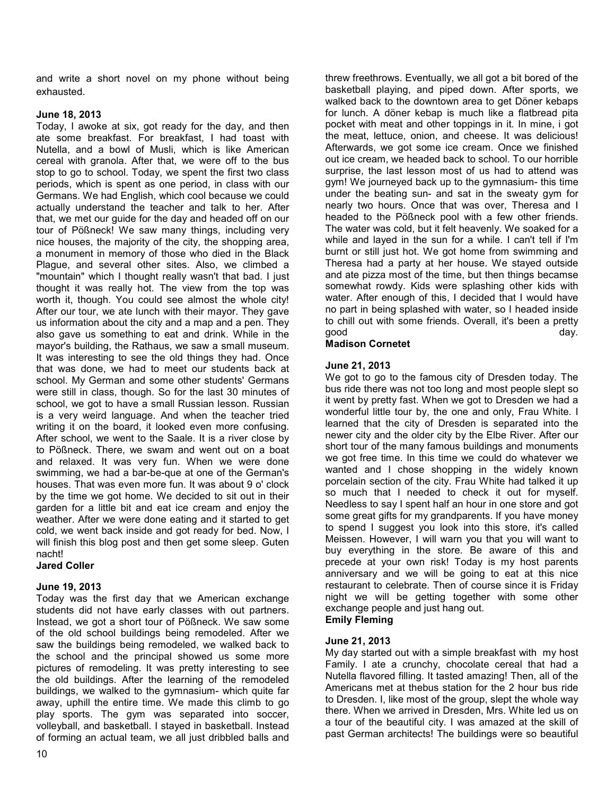and write a short novel on my phone without being exhausted.

# **June 18, 2013**

Today, I awoke at six, got ready for the day, and then ate some breakfast. For breakfast, I had toast with Nutella, and a bowl of Musli, which is like American cereal with granola. After that, we were off to the bus stop to go to school. Today, we spent the first two class periods, which is spent as one period, in class with our Germans. We had English, which cool because we could actually understand the teacher and talk to her. After that, we met our guide for the day and headed off on our tour of Pößneck! We saw many things, including very nice houses, the majority of the city, the shopping area, a monument in memory of those who died in the Black Plague, and several other sites. Also, we climbed a "mountain" which I thought really wasn't that bad. I just thought it was really hot. The view from the top was worth it, though. You could see almost the whole city! After our tour, we ate lunch with their mayor. They gave us information about the city and a map and a pen. They also gave us something to eat and drink. While in the mayor's building, the Rathaus, we saw a small museum. It was interesting to see the old things they had. Once that was done, we had to meet our students back at school. My German and some other students' Germans were still in class, though. So for the last 30 minutes of school, we got to have a small Russian lesson. Russian is a very weird language. And when the teacher tried writing it on the board, it looked even more confusing. After school, we went to the Saale. It is a river close by to Pößneck. There, we swam and went out on a boat and relaxed. It was very fun. When we were done swimming, we had a bar-be-que at one of the German's houses. That was even more fun. It was about 9 o' clock by the time we got home. We decided to sit out in their garden for a little bit and eat ice cream and enjoy the weather. After we were done eating and it started to get cold, we went back inside and got ready for bed. Now, I will finish this blog post and then get some sleep. Guten nacht!

# **Jared Coller**

# **June 19, 2013**

Today was the first day that we American exchange students did not have early classes with out partners. Instead, we got a short tour of Pößneck. We saw some of the old school buildings being remodeled. After we saw the buildings being remodeled, we walked back to the school and the principal showed us some more pictures of remodeling. It was pretty interesting to see the old buildings. After the learning of the remodeled buildings, we walked to the gymnasium- which quite far away, uphill the entire time. We made this climb to go play sports. The gym was separated into soccer, volleyball, and basketball. I stayed in basketball. Instead of forming an actual team, we all just dribbled balls and

threw freethrows. Eventually, we all got a bit bored of the basketball playing, and piped down. After sports, we walked back to the downtown area to get Döner kebaps for lunch. A döner kebap is much like a flatbread pita pocket with meat and other toppings in it. In mine, i got the meat, lettuce, onion, and cheese. It was delicious! Afterwards, we got some ice cream. Once we finished out ice cream, we headed back to school. To our horrible surprise, the last lesson most of us had to attend was gym! We journeyed back up to the gymnasium- this time under the beating sun- and sat in the sweaty gym for nearly two hours. Once that was over, Theresa and I headed to the Pößneck pool with a few other friends. The water was cold, but it felt heavenly. We soaked for a while and layed in the sun for a while. I can't tell if I'm burnt or still just hot. We got home from swimming and Theresa had a party at her house. We stayed outside and ate pizza most of the time, but then things becamse somewhat rowdy. Kids were splashing other kids with water. After enough of this, I decided that I would have no part in being splashed with water, so I headed inside to chill out with some friends. Overall, it's been a pretty good day.

# **Madison Cornetet**

# **June 21, 2013**

We got to go to the famous city of Dresden today. The bus ride there was not too long and most people slept so it went by pretty fast. When we got to Dresden we had a wonderful little tour by, the one and only, Frau White. I learned that the city of Dresden is separated into the newer city and the older city by the Elbe River. After our short tour of the many famous buildings and monuments we got free time. In this time we could do whatever we wanted and I chose shopping in the widely known porcelain section of the city. Frau White had talked it up so much that I needed to check it out for myself. Needless to say I spent half an hour in one store and got some great gifts for my grandparents. If you have money to spend I suggest you look into this store, it's called Meissen. However, I will warn you that you will want to buy everything in the store. Be aware of this and precede at your own risk! Today is my host parents anniversary and we will be going to eat at this nice restaurant to celebrate. Then of course since it is Friday night we will be getting together with some other exchange people and just hang out.

# **Emily Fleming**

# **June 21, 2013**

My day started out with a simple breakfast with my host Family. I ate a crunchy, chocolate cereal that had a Nutella flavored filling. It tasted amazing! Then, all of the Americans met at thebus station for the 2 hour bus ride to Dresden. I, like most of the group, slept the whole way there. When we arrived in Dresden, Mrs. White led us on a tour of the beautiful city. I was amazed at the skill of past German architects! The buildings were so beautiful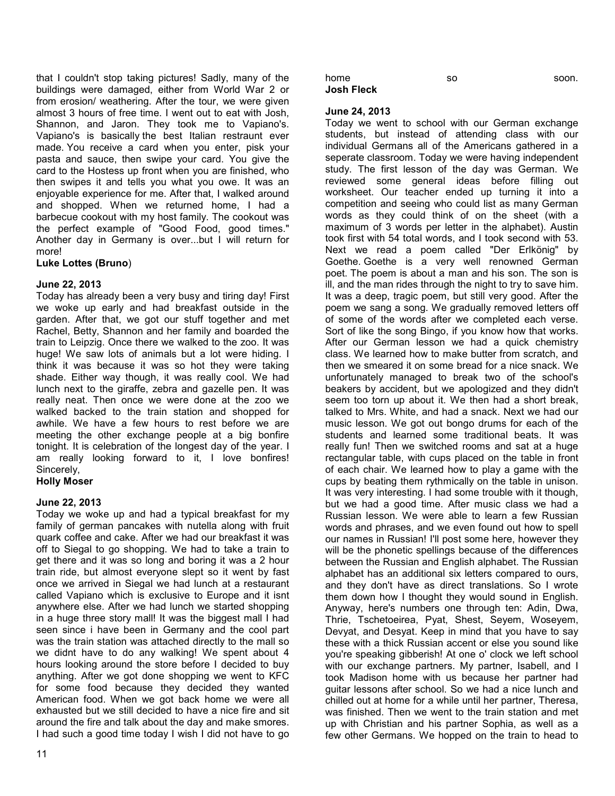that I couldn't stop taking pictures! Sadly, many of the buildings were damaged, either from World War 2 or from erosion/ weathering. After the tour, we were given almost 3 hours of free time. I went out to eat with Josh, Shannon, and Jaron. They took me to Vapiano's. Vapiano's is basically the best Italian restraunt ever made. You receive a card when you enter, pisk your pasta and sauce, then swipe your card. You give the card to the Hostess up front when you are finished, who then swipes it and tells you what you owe. It was an enjoyable experience for me. After that, I walked around and shopped. When we returned home, I had a barbecue cookout with my host family. The cookout was the perfect example of "Good Food, good times." Another day in Germany is over...but I will return for more!

#### **Luke Lottes (Bruno**)

### **June 22, 2013**

Today has already been a very busy and tiring day! First we woke up early and had breakfast outside in the garden. After that, we got our stuff together and met Rachel, Betty, Shannon and her family and boarded the train to Leipzig. Once there we walked to the zoo. It was huge! We saw lots of animals but a lot were hiding. I think it was because it was so hot they were taking shade. Either way though, it was really cool. We had lunch next to the giraffe, zebra and gazelle pen. It was really neat. Then once we were done at the zoo we walked backed to the train station and shopped for awhile. We have a few hours to rest before we are meeting the other exchange people at a big bonfire tonight. It is celebration of the longest day of the year. I am really looking forward to it, I love bonfires! Sincerely,

# **Holly Moser**

#### **June 22, 2013**

Today we woke up and had a typical breakfast for my family of german pancakes with nutella along with fruit quark coffee and cake. After we had our breakfast it was off to Siegal to go shopping. We had to take a train to get there and it was so long and boring it was a 2 hour train ride, but almost everyone slept so it went by fast once we arrived in Siegal we had lunch at a restaurant called Vapiano which is exclusive to Europe and it isnt anywhere else. After we had lunch we started shopping in a huge three story mall! It was the biggest mall I had seen since i have been in Germany and the cool part was the train station was attached directly to the mall so we didnt have to do any walking! We spent about 4 hours looking around the store before I decided to buy anything. After we got done shopping we went to KFC for some food because they decided they wanted American food. When we got back home we were all exhausted but we still decided to have a nice fire and sit around the fire and talk about the day and make smores. I had such a good time today I wish I did not have to go

### **June 24, 2013**

Today we went to school with our German exchange students, but instead of attending class with our individual Germans all of the Americans gathered in a seperate classroom. Today we were having independent study. The first lesson of the day was German. We reviewed some general ideas before filling out worksheet. Our teacher ended up turning it into a competition and seeing who could list as many German words as they could think of on the sheet (with a maximum of 3 words per letter in the alphabet). Austin took first with 54 total words, and I took second with 53. Next we read a poem called "Der Erlkönig" by Goethe. Goethe is a very well renowned German poet. The poem is about a man and his son. The son is ill, and the man rides through the night to try to save him. It was a deep, tragic poem, but still very good. After the poem we sang a song. We gradually removed letters off of some of the words after we completed each verse. Sort of like the song Bingo, if you know how that works. After our German lesson we had a quick chemistry class. We learned how to make butter from scratch, and then we smeared it on some bread for a nice snack. We unfortunately managed to break two of the school's beakers by accident, but we apologized and they didn't seem too torn up about it. We then had a short break, talked to Mrs. White, and had a snack. Next we had our music lesson. We got out bongo drums for each of the students and learned some traditional beats. It was really fun! Then we switched rooms and sat at a huge rectangular table, with cups placed on the table in front of each chair. We learned how to play a game with the cups by beating them rythmically on the table in unison. It was very interesting. I had some trouble with it though, but we had a good time. After music class we had a Russian lesson. We were able to learn a few Russian words and phrases, and we even found out how to spell our names in Russian! I'll post some here, however they will be the phonetic spellings because of the differences between the Russian and English alphabet. The Russian alphabet has an additional six letters compared to ours, and they don't have as direct translations. So I wrote them down how I thought they would sound in English. Anyway, here's numbers one through ten: Adin, Dwa, Thrie, Tschetoeirea, Pyat, Shest, Seyem, Woseyem, Devyat, and Desyat. Keep in mind that you have to say these with a thick Russian accent or else you sound like you're speaking gibberish! At one o' clock we left school with our exchange partners. My partner, Isabell, and I took Madison home with us because her partner had guitar lessons after school. So we had a nice lunch and chilled out at home for a while until her partner, Theresa, was finished. Then we went to the train station and met up with Christian and his partner Sophia, as well as a few other Germans. We hopped on the train to head to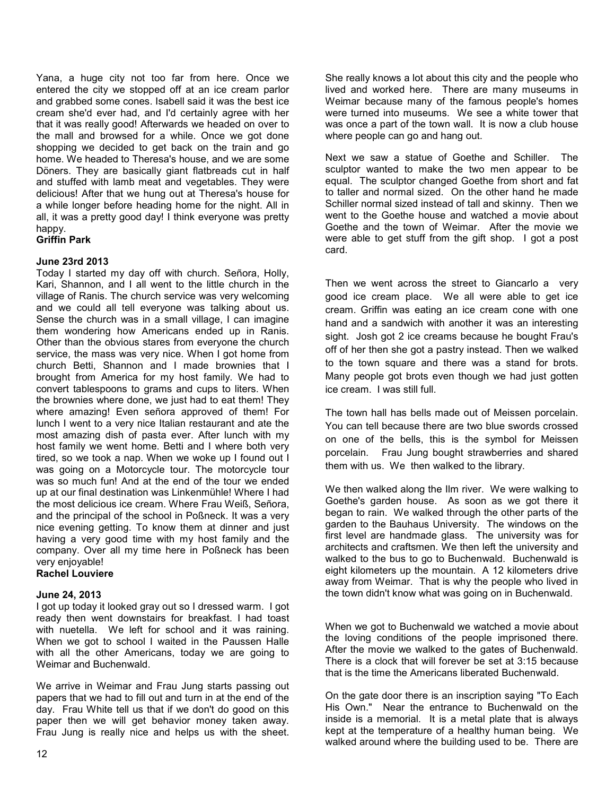Yana, a huge city not too far from here. Once we entered the city we stopped off at an ice cream parlor and grabbed some cones. Isabell said it was the best ice cream she'd ever had, and I'd certainly agree with her that it was really good! Afterwards we headed on over to the mall and browsed for a while. Once we got done shopping we decided to get back on the train and go home. We headed to Theresa's house, and we are some Döners. They are basically giant flatbreads cut in half and stuffed with lamb meat and vegetables. They were delicious! After that we hung out at Theresa's house for a while longer before heading home for the night. All in all, it was a pretty good day! I think everyone was pretty happy.

# **Griffin Park**

### **June 23rd 2013**

Today I started my day off with church. Señora, Holly, Kari, Shannon, and I all went to the little church in the village of Ranis. The church service was very welcoming and we could all tell everyone was talking about us. Sense the church was in a small village, I can imagine them wondering how Americans ended up in Ranis. Other than the obvious stares from everyone the church service, the mass was very nice. When I got home from church Betti, Shannon and I made brownies that I brought from America for my host family. We had to convert tablespoons to grams and cups to liters. When the brownies where done, we just had to eat them! They where amazing! Even señora approved of them! For lunch I went to a very nice Italian restaurant and ate the most amazing dish of pasta ever. After lunch with my host family we went home. Betti and I where both very tired, so we took a nap. When we woke up I found out I was going on a Motorcycle tour. The motorcycle tour was so much fun! And at the end of the tour we ended up at our final destination was Linkenmühle! Where I had the most delicious ice cream. Where Frau Weiß, Señora, and the principal of the school in Poßneck. It was a very nice evening getting. To know them at dinner and just having a very good time with my host family and the company. Over all my time here in Poßneck has been very enjoyable!

#### **Rachel Louviere**

#### **June 24, 2013**

I got up today it looked gray out so I dressed warm. I got ready then went downstairs for breakfast. I had toast with nuetella. We left for school and it was raining. When we got to school I waited in the Paussen Halle with all the other Americans, today we are going to Weimar and Buchenwald.

We arrive in Weimar and Frau Jung starts passing out papers that we had to fill out and turn in at the end of the day. Frau White tell us that if we don't do good on this paper then we will get behavior money taken away. Frau Jung is really nice and helps us with the sheet.

She really knows a lot about this city and the people who lived and worked here. There are many museums in Weimar because many of the famous people's homes were turned into museums. We see a white tower that was once a part of the town wall. It is now a club house where people can go and hang out.

Next we saw a statue of Goethe and Schiller. The sculptor wanted to make the two men appear to be equal. The sculptor changed Goethe from short and fat to taller and normal sized. On the other hand he made Schiller normal sized instead of tall and skinny. Then we went to the Goethe house and watched a movie about Goethe and the town of Weimar. After the movie we were able to get stuff from the gift shop. I got a post card.

Then we went across the street to Giancarlo a very good ice cream place. We all were able to get ice cream. Griffin was eating an ice cream cone with one hand and a sandwich with another it was an interesting sight. Josh got 2 ice creams because he bought Frau's off of her then she got a pastry instead. Then we walked to the town square and there was a stand for brots. Many people got brots even though we had just gotten ice cream. I was still full.

The town hall has bells made out of Meissen porcelain. You can tell because there are two blue swords crossed on one of the bells, this is the symbol for Meissen porcelain. Frau Jung bought strawberries and shared them with us. We then walked to the library.

We then walked along the Ilm river. We were walking to Goethe's garden house. As soon as we got there it began to rain. We walked through the other parts of the garden to the Bauhaus University. The windows on the first level are handmade glass. The university was for architects and craftsmen. We then left the university and walked to the bus to go to Buchenwald. Buchenwald is eight kilometers up the mountain. A 12 kilometers drive away from Weimar. That is why the people who lived in the town didn't know what was going on in Buchenwald.

When we got to Buchenwald we watched a movie about the loving conditions of the people imprisoned there. After the movie we walked to the gates of Buchenwald. There is a clock that will forever be set at 3:15 because that is the time the Americans liberated Buchenwald.

On the gate door there is an inscription saying "To Each His Own." Near the entrance to Buchenwald on the inside is a memorial. It is a metal plate that is always kept at the temperature of a healthy human being. We walked around where the building used to be. There are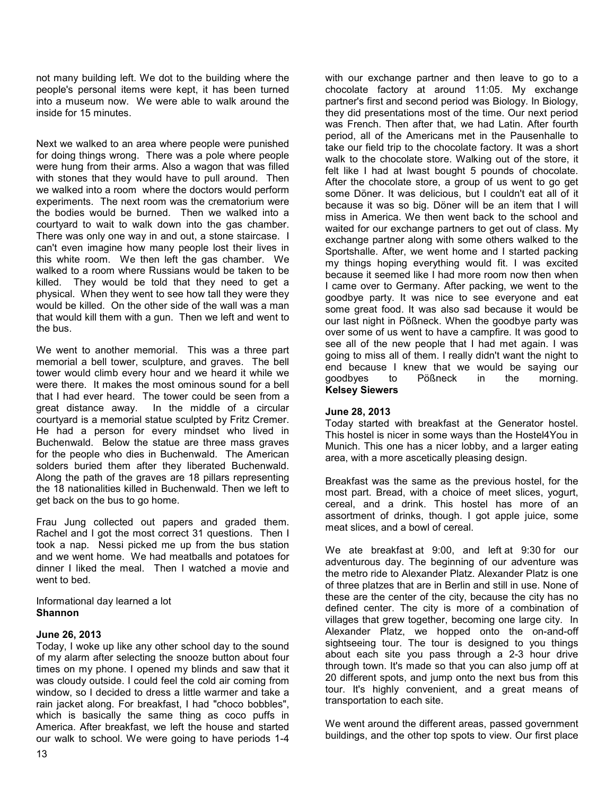not many building left. We dot to the building where the people's personal items were kept, it has been turned into a museum now. We were able to walk around the inside for 15 minutes.

Next we walked to an area where people were punished for doing things wrong. There was a pole where people were hung from their arms. Also a wagon that was filled with stones that they would have to pull around. Then we walked into a room where the doctors would perform experiments. The next room was the crematorium were the bodies would be burned. Then we walked into a courtyard to wait to walk down into the gas chamber. There was only one way in and out, a stone staircase. I can't even imagine how many people lost their lives in this white room. We then left the gas chamber. We walked to a room where Russians would be taken to be killed. They would be told that they need to get a physical. When they went to see how tall they were they would be killed. On the other side of the wall was a man that would kill them with a gun. Then we left and went to the bus.

We went to another memorial. This was a three part memorial a bell tower, sculpture, and graves. The bell tower would climb every hour and we heard it while we were there. It makes the most ominous sound for a bell that I had ever heard. The tower could be seen from a great distance away. In the middle of a circular courtyard is a memorial statue sculpted by Fritz Cremer. He had a person for every mindset who lived in Buchenwald. Below the statue are three mass graves for the people who dies in Buchenwald. The American solders buried them after they liberated Buchenwald. Along the path of the graves are 18 pillars representing the 18 nationalities killed in Buchenwald. Then we left to get back on the bus to go home.

Frau Jung collected out papers and graded them. Rachel and I got the most correct 31 questions. Then I took a nap. Nessi picked me up from the bus station and we went home. We had meatballs and potatoes for dinner I liked the meal. Then I watched a movie and went to bed.

Informational day learned a lot **Shannon**

# **June 26, 2013**

Today, I woke up like any other school day to the sound of my alarm after selecting the snooze button about four times on my phone. I opened my blinds and saw that it was cloudy outside. I could feel the cold air coming from window, so I decided to dress a little warmer and take a rain jacket along. For breakfast, I had "choco bobbles", which is basically the same thing as coco puffs in America. After breakfast, we left the house and started our walk to school. We were going to have periods 1-4

with our exchange partner and then leave to go to a chocolate factory at around 11:05. My exchange partner's first and second period was Biology. In Biology, they did presentations most of the time. Our next period was French. Then after that, we had Latin. After fourth period, all of the Americans met in the Pausenhalle to take our field trip to the chocolate factory. It was a short walk to the chocolate store. Walking out of the store, it felt like I had at lwast bought 5 pounds of chocolate. After the chocolate store, a group of us went to go get some Döner. It was delicious, but I couldn't eat all of it because it was so big. Döner will be an item that I will miss in America. We then went back to the school and waited for our exchange partners to get out of class. My exchange partner along with some others walked to the Sportshalle. After, we went home and I started packing my things hoping everything would fit. I was excited because it seemed like I had more room now then when I came over to Germany. After packing, we went to the goodbye party. It was nice to see everyone and eat some great food. It was also sad because it would be our last night in Pößneck. When the goodbye party was over some of us went to have a campfire. It was good to see all of the new people that I had met again. I was going to miss all of them. I really didn't want the night to end because I knew that we would be saying our goodbyes to Pößneck in the morning. **Kelsey Siewers**

#### **June 28, 2013**

Today started with breakfast at the Generator hostel. This hostel is nicer in some ways than the Hostel4You in Munich. This one has a nicer lobby, and a larger eating area, with a more ascetically pleasing design.

Breakfast was the same as the previous hostel, for the most part. Bread, with a choice of meet slices, yogurt, cereal, and a drink. This hostel has more of an assortment of drinks, though. I got apple juice, some meat slices, and a bowl of cereal.

We ate breakfast at 9:00, and left at 9:30 for our adventurous day. The beginning of our adventure was the metro ride to Alexander Platz. Alexander Platz is one of three platzes that are in Berlin and still in use. None of these are the center of the city, because the city has no defined center. The city is more of a combination of villages that grew together, becoming one large city. In Alexander Platz, we hopped onto the on-and-off sightseeing tour. The tour is designed to you things about each site you pass through a 2-3 hour drive through town. It's made so that you can also jump off at 20 different spots, and jump onto the next bus from this tour. It's highly convenient, and a great means of transportation to each site.

We went around the different areas, passed government buildings, and the other top spots to view. Our first place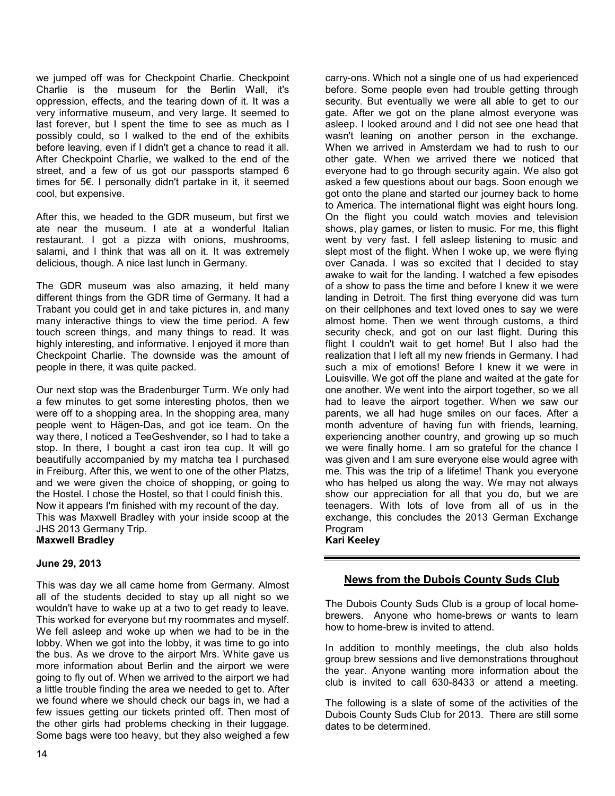we jumped off was for Checkpoint Charlie. Checkpoint Charlie is the museum for the Berlin Wall, it's oppression, effects, and the tearing down of it. It was a very informative museum, and very large. It seemed to last forever, but I spent the time to see as much as I possibly could, so I walked to the end of the exhibits before leaving, even if I didn't get a chance to read it all. After Checkpoint Charlie, we walked to the end of the street, and a few of us got our passports stamped 6 times for 5€. I personally didn't partake in it, it seemed cool, but expensive.

After this, we headed to the GDR museum, but first we ate near the museum. I ate at a wonderful Italian restaurant. I got a pizza with onions, mushrooms, salami, and I think that was all on it. It was extremely delicious, though. A nice last lunch in Germany.

The GDR museum was also amazing, it held many different things from the GDR time of Germany. It had a Trabant you could get in and take pictures in, and many many interactive things to view the time period. A few touch screen things, and many things to read. It was highly interesting, and informative. I enjoyed it more than Checkpoint Charlie. The downside was the amount of people in there, it was quite packed.

Our next stop was the Bradenburger Turm. We only had a few minutes to get some interesting photos, then we were off to a shopping area. In the shopping area, many people went to Hägen-Das, and got ice team. On the way there, I noticed a TeeGeshvender, so I had to take a stop. In there, I bought a cast iron tea cup. It will go beautifully accompanied by my matcha tea I purchased in Freiburg. After this, we went to one of the other Platzs, and we were given the choice of shopping, or going to the Hostel. I chose the Hostel, so that I could finish this. Now it appears I'm finished with my recount of the day. This was Maxwell Bradley with your inside scoop at the JHS 2013 Germany Trip.

**Maxwell Bradley** 

#### **June 29, 2013**

This was day we all came home from Germany. Almost all of the students decided to stay up all night so we wouldn't have to wake up at a two to get ready to leave. This worked for everyone but my roommates and myself. We fell asleep and woke up when we had to be in the lobby. When we got into the lobby, it was time to go into the bus. As we drove to the airport Mrs. White gave us more information about Berlin and the airport we were going to fly out of. When we arrived to the airport we had a little trouble finding the area we needed to get to. After we found where we should check our bags in, we had a few issues getting our tickets printed off. Then most of the other girls had problems checking in their luggage. Some bags were too heavy, but they also weighed a few

carry-ons. Which not a single one of us had experienced before. Some people even had trouble getting through security. But eventually we were all able to get to our gate. After we got on the plane almost everyone was asleep. I looked around and I did not see one head that wasn't leaning on another person in the exchange. When we arrived in Amsterdam we had to rush to our other gate. When we arrived there we noticed that everyone had to go through security again. We also got asked a few questions about our bags. Soon enough we got onto the plane and started our journey back to home to America. The international flight was eight hours long. On the flight you could watch movies and television shows, play games, or listen to music. For me, this flight went by very fast. I fell asleep listening to music and slept most of the flight. When I woke up, we were flying over Canada. I was so excited that I decided to stay awake to wait for the landing. I watched a few episodes of a show to pass the time and before I knew it we were landing in Detroit. The first thing everyone did was turn on their cellphones and text loved ones to say we were almost home. Then we went through customs, a third security check, and got on our last flight. During this flight I couldn't wait to get home! But I also had the realization that I left all my new friends in Germany. I had such a mix of emotions! Before I knew it we were in Louisville. We got off the plane and waited at the gate for one another. We went into the airport together, so we all had to leave the airport together. When we saw our parents, we all had huge smiles on our faces. After a month adventure of having fun with friends, learning, experiencing another country, and growing up so much we were finally home. I am so grateful for the chance I was given and I am sure everyone else would agree with me. This was the trip of a lifetime! Thank you everyone who has helped us along the way. We may not always show our appreciation for all that you do, but we are teenagers. With lots of love from all of us in the exchange, this concludes the 2013 German Exchange Program

**Kari Keeley**

# **News from the Dubois County Suds Club**

The Dubois County Suds Club is a group of local homebrewers. Anyone who home-brews or wants to learn how to home-brew is invited to attend.

In addition to monthly meetings, the club also holds group brew sessions and live demonstrations throughout the year. Anyone wanting more information about the club is invited to call 630-8433 or attend a meeting.

The following is a slate of some of the activities of the Dubois County Suds Club for 2013. There are still some dates to be determined.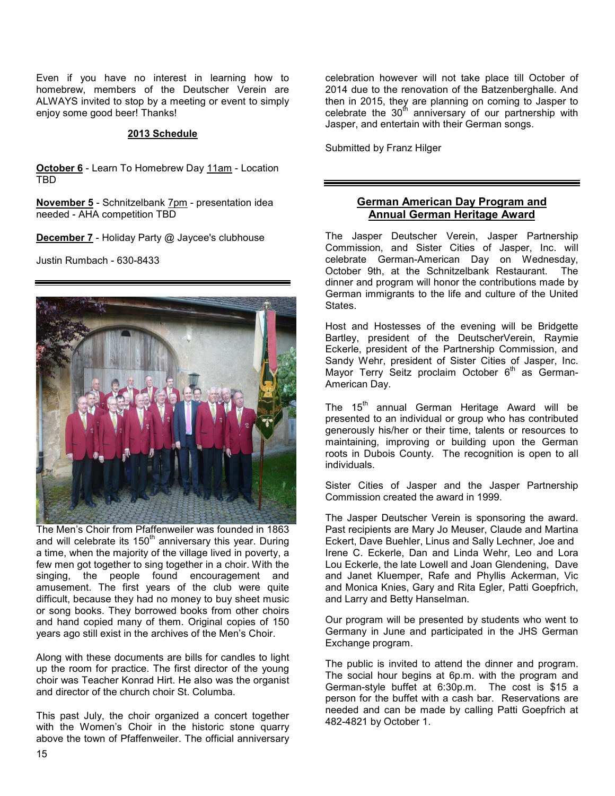Even if you have no interest in learning how to homebrew, members of the Deutscher Verein are ALWAYS invited to stop by a meeting or event to simply enjoy some good beer! Thanks!

#### **2013 Schedule**

**October 6** - Learn To Homebrew Day 11am - Location TBD

**November 5** - Schnitzelbank 7pm - presentation idea needed - AHA competition TBD

**December 7** - Holiday Party @ Jaycee's clubhouse

Justin Rumbach - 630-8433



The Men's Choir from Pfaffenweiler was founded in 1863 and will celebrate its 150<sup>th</sup> anniversary this year. During a time, when the majority of the village lived in poverty, a few men got together to sing together in a choir. With the singing, the people found encouragement and amusement. The first years of the club were quite difficult, because they had no money to buy sheet music or song books. They borrowed books from other choirs and hand copied many of them. Original copies of 150 years ago still exist in the archives of the Men's Choir.

Along with these documents are bills for candles to light up the room for practice. The first director of the young choir was Teacher Konrad Hirt. He also was the organist and director of the church choir St. Columba.

This past July, the choir organized a concert together with the Women's Choir in the historic stone quarry above the town of Pfaffenweiler. The official anniversary celebration however will not take place till October of 2014 due to the renovation of the Batzenberghalle. And then in 2015, they are planning on coming to Jasper to celebrate the 30<sup>th</sup> anniversary of our partnership with Jasper, and entertain with their German songs.

Submitted by Franz Hilger

# **German American Day Program and Annual German Heritage Award**

The Jasper Deutscher Verein, Jasper Partnership Commission, and Sister Cities of Jasper, Inc. will celebrate German-American Day on Wednesday, October 9th, at the Schnitzelbank Restaurant. The dinner and program will honor the contributions made by German immigrants to the life and culture of the United States.

Host and Hostesses of the evening will be Bridgette Bartley, president of the DeutscherVerein, Raymie Eckerle, president of the Partnership Commission, and Sandy Wehr, president of Sister Cities of Jasper, Inc. Mayor Terry Seitz proclaim October  $6<sup>th</sup>$  as German-American Day.

The  $15<sup>th</sup>$  annual German Heritage Award will be presented to an individual or group who has contributed generously his/her or their time, talents or resources to maintaining, improving or building upon the German roots in Dubois County. The recognition is open to all individuals.

Sister Cities of Jasper and the Jasper Partnership Commission created the award in 1999.

The Jasper Deutscher Verein is sponsoring the award. Past recipients are Mary Jo Meuser, Claude and Martina Eckert, Dave Buehler, Linus and Sally Lechner, Joe and Irene C. Eckerle, Dan and Linda Wehr, Leo and Lora Lou Eckerle, the late Lowell and Joan Glendening, Dave and Janet Kluemper, Rafe and Phyllis Ackerman, Vic and Monica Knies, Gary and Rita Egler, Patti Goepfrich, and Larry and Betty Hanselman.

Our program will be presented by students who went to Germany in June and participated in the JHS German Exchange program.

The public is invited to attend the dinner and program. The social hour begins at 6p.m. with the program and German-style buffet at 6:30p.m. The cost is \$15 a person for the buffet with a cash bar. Reservations are needed and can be made by calling Patti Goepfrich at 482-4821 by October 1.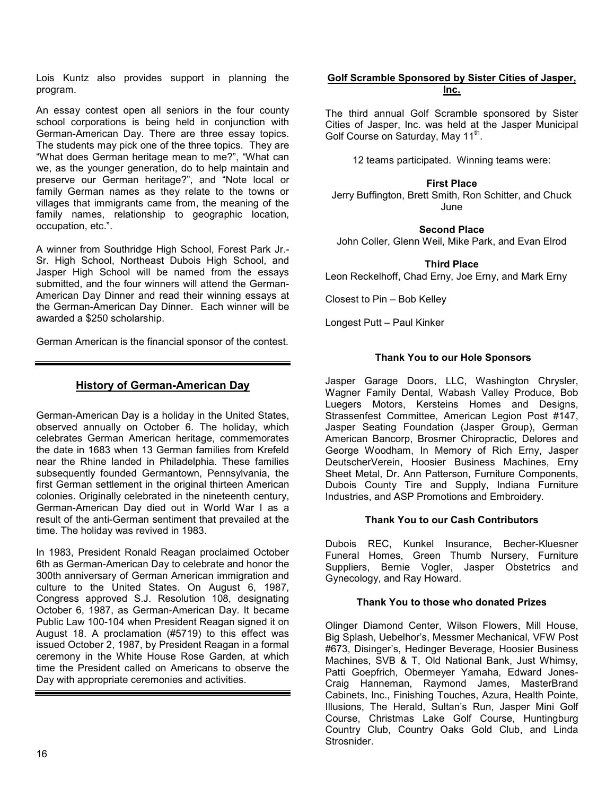Lois Kuntz also provides support in planning the program.

An essay contest open all seniors in the four county school corporations is being held in conjunction with German-American Day. There are three essay topics. The students may pick one of the three topics. They are "What does German heritage mean to me?", "What can we, as the younger generation, do to help maintain and preserve our German heritage?", and "Note local or family German names as they relate to the towns or villages that immigrants came from, the meaning of the family names, relationship to geographic location, occupation, etc.".

A winner from Southridge High School, Forest Park Jr.- Sr. High School, Northeast Dubois High School, and Jasper High School will be named from the essays submitted, and the four winners will attend the German-American Day Dinner and read their winning essays at the German-American Day Dinner. Each winner will be awarded a \$250 scholarship.

German American is the financial sponsor of the contest.

# **History of German-American Day**

German-American Day is a holiday in the United States, observed annually on October 6. The holiday, which celebrates German American heritage, commemorates the date in 1683 when 13 German families from Krefeld near the Rhine landed in Philadelphia. These families subsequently founded Germantown, Pennsylvania, the first German settlement in the original thirteen American colonies. Originally celebrated in the nineteenth century, German-American Day died out in World War I as a result of the anti-German sentiment that prevailed at the time. The holiday was revived in 1983.

In 1983, President Ronald Reagan proclaimed October 6th as German-American Day to celebrate and honor the 300th anniversary of German American immigration and culture to the United States. On August 6, 1987, Congress approved S.J. Resolution 108, designating October 6, 1987, as German-American Day. It became Public Law 100-104 when President Reagan signed it on August 18. A proclamation (#5719) to this effect was issued October 2, 1987, by President Reagan in a formal ceremony in the White House Rose Garden, at which time the President called on Americans to observe the Day with appropriate ceremonies and activities.

## **Golf Scramble Sponsored by Sister Cities of Jasper, Inc.**

The third annual Golf Scramble sponsored by Sister Cities of Jasper, Inc. was held at the Jasper Municipal Golf Course on Saturday, May 11<sup>th</sup>.

12 teams participated. Winning teams were:

# **First Place**

Jerry Buffington, Brett Smith, Ron Schitter, and Chuck June

### **Second Place**

John Coller, Glenn Weil, Mike Park, and Evan Elrod

# **Third Place**

Leon Reckelhoff, Chad Erny, Joe Erny, and Mark Erny

Closest to Pin – Bob Kelley

Longest Putt – Paul Kinker

# **Thank You to our Hole Sponsors**

Jasper Garage Doors, LLC, Washington Chrysler, Wagner Family Dental, Wabash Valley Produce, Bob Luegers Motors, Kersteins Homes and Designs, Strassenfest Committee, American Legion Post #147, Jasper Seating Foundation (Jasper Group), German American Bancorp, Brosmer Chiropractic, Delores and George Woodham, In Memory of Rich Erny, Jasper DeutscherVerein, Hoosier Business Machines, Erny Sheet Metal, Dr. Ann Patterson, Furniture Components, Dubois County Tire and Supply, Indiana Furniture Industries, and ASP Promotions and Embroidery.

# **Thank You to our Cash Contributors**

Dubois REC, Kunkel Insurance, Becher-Kluesner Funeral Homes, Green Thumb Nursery, Furniture Suppliers, Bernie Vogler, Jasper Obstetrics and Gynecology, and Ray Howard.

#### **Thank You to those who donated Prizes**

Olinger Diamond Center, Wilson Flowers, Mill House, Big Splash, Uebelhor's, Messmer Mechanical, VFW Post #673, Disinger's, Hedinger Beverage, Hoosier Business Machines, SVB & T, Old National Bank, Just Whimsy, Patti Goepfrich, Obermeyer Yamaha, Edward Jones-Craig Hanneman, Raymond James, MasterBrand Cabinets, Inc., Finishing Touches, Azura, Health Pointe, Illusions, The Herald, Sultan's Run, Jasper Mini Golf Course, Christmas Lake Golf Course, Huntingburg Country Club, Country Oaks Gold Club, and Linda Strosnider.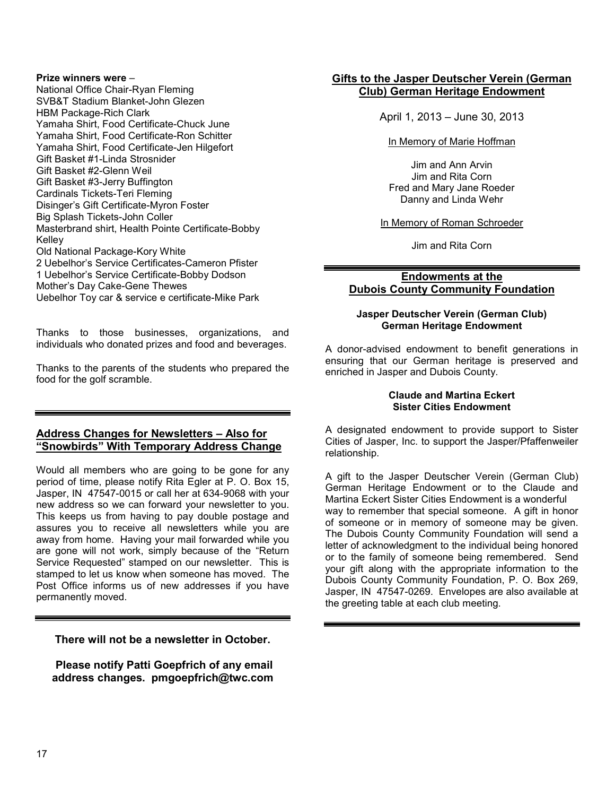#### **Prize winners were** –

National Office Chair-Ryan Fleming SVB&T Stadium Blanket-John Glezen HBM Package-Rich Clark Yamaha Shirt, Food Certificate-Chuck June Yamaha Shirt, Food Certificate-Ron Schitter Yamaha Shirt, Food Certificate-Jen Hilgefort Gift Basket #1-Linda Strosnider Gift Basket #2-Glenn Weil Gift Basket #3-Jerry Buffington Cardinals Tickets-Teri Fleming Disinger's Gift Certificate-Myron Foster Big Splash Tickets-John Coller Masterbrand shirt, Health Pointe Certificate-Bobby Kelley Old National Package-Kory White 2 Uebelhor's Service Certificates-Cameron Pfister 1 Uebelhor's Service Certificate-Bobby Dodson Mother's Day Cake-Gene Thewes Uebelhor Toy car & service e certificate-Mike Park

Thanks to those businesses, organizations, and individuals who donated prizes and food and beverages.

Thanks to the parents of the students who prepared the food for the golf scramble.

# **Address Changes for Newsletters – Also for "Snowbirds" With Temporary Address Change**

Would all members who are going to be gone for any period of time, please notify Rita Egler at P. O. Box 15, Jasper, IN 47547-0015 or call her at 634-9068 with your new address so we can forward your newsletter to you. This keeps us from having to pay double postage and assures you to receive all newsletters while you are away from home. Having your mail forwarded while you are gone will not work, simply because of the "Return Service Requested" stamped on our newsletter. This is stamped to let us know when someone has moved. The Post Office informs us of new addresses if you have permanently moved.

**There will not be a newsletter in October.** 

 **Please notify Patti Goepfrich of any email address changes. pmgoepfrich@twc.com** 

# **Gifts to the Jasper Deutscher Verein (German Club) German Heritage Endowment**

April 1, 2013 – June 30, 2013

#### In Memory of Marie Hoffman

Jim and Ann Arvin Jim and Rita Corn Fred and Mary Jane Roeder Danny and Linda Wehr

#### In Memory of Roman Schroeder

Jim and Rita Corn

# **Endowments at the Dubois County Community Foundation**

#### **Jasper Deutscher Verein (German Club) German Heritage Endowment**

A donor-advised endowment to benefit generations in ensuring that our German heritage is preserved and enriched in Jasper and Dubois County.

#### **Claude and Martina Eckert Sister Cities Endowment**

A designated endowment to provide support to Sister Cities of Jasper, Inc. to support the Jasper/Pfaffenweiler relationship.

A gift to the Jasper Deutscher Verein (German Club) German Heritage Endowment or to the Claude and Martina Eckert Sister Cities Endowment is a wonderful way to remember that special someone. A gift in honor of someone or in memory of someone may be given. The Dubois County Community Foundation will send a letter of acknowledgment to the individual being honored or to the family of someone being remembered. Send your gift along with the appropriate information to the Dubois County Community Foundation, P. O. Box 269, Jasper, IN 47547-0269. Envelopes are also available at the greeting table at each club meeting.